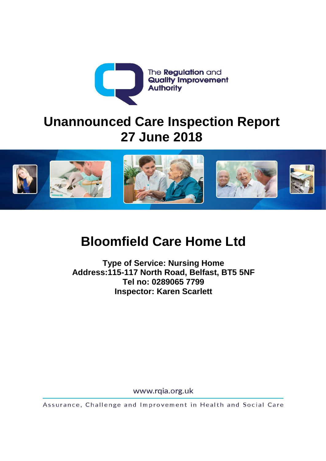

# **Unannounced Care Inspection Report 27 June 2018**



# **Bloomfield Care Home Ltd**

**Type of Service: Nursing Home Address:115-117 North Road, Belfast, BT5 5NF Tel no: 0289065 7799 Inspector: Karen Scarlett**

www.rqia.org.uk

Assurance, Challenge and Improvement in Health and Social Care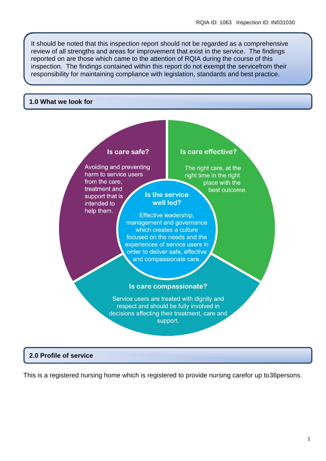It should be noted that this inspection report should not be regarded as a comprehensive review of all strengths and areas for improvement that exist in the service. The findings reported on are those which came to the attention of RQIA during the course of this inspection. The findings contained within this report do not exempt the servicefrom their responsibility for maintaining compliance with legislation, standards and best practice.

#### **1.0 What we look for**

#### Is care safe? Is care effective? Avoiding and preventing The right care, at the harm to service users right time in the right from the care. place with the treatment and best outcome. Is the service support that is well led? intended to help them. Effective leadership. management and governance which creates a culture focused on the needs and the experiences of service users in order to deliver safe, effective and compassionate care. Is care compassionate? Service users are treated with dignity and respect and should be fully involved in decisions affecting their treatment, care and support.

#### **2.0 Profile of service**

This is a registered nursing home which is registered to provide nursing carefor up to36persons.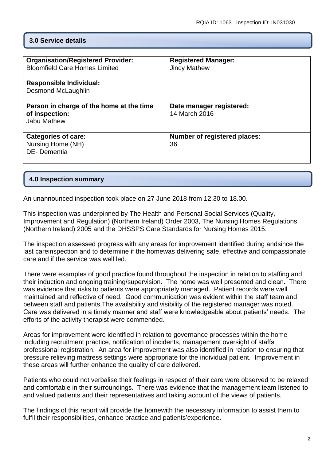# **3.0 Service details**

| <b>Organisation/Registered Provider:</b> | <b>Registered Manager:</b>          |
|------------------------------------------|-------------------------------------|
| <b>Bloomfield Care Homes Limited</b>     | <b>Jincy Mathew</b>                 |
|                                          |                                     |
|                                          |                                     |
| <b>Responsible Individual:</b>           |                                     |
| <b>Desmond McLaughlin</b>                |                                     |
|                                          |                                     |
|                                          |                                     |
| Person in charge of the home at the time | Date manager registered:            |
| of inspection:                           | 14 March 2016                       |
| Jabu Mathew                              |                                     |
|                                          |                                     |
|                                          |                                     |
| <b>Categories of care:</b>               | <b>Number of registered places:</b> |
| Nursing Home (NH)                        | 36                                  |
|                                          |                                     |
| DE-Dementia                              |                                     |
|                                          |                                     |
|                                          |                                     |

#### **4.0 Inspection summary**

An unannounced inspection took place on 27 June 2018 from 12.30 to 18.00.

This inspection was underpinned by The Health and Personal Social Services (Quality, Improvement and Regulation) (Northern Ireland) Order 2003, The Nursing Homes Regulations (Northern Ireland) 2005 and the DHSSPS Care Standards for Nursing Homes 2015.

The inspection assessed progress with any areas for improvement identified during andsince the last careinspection and to determine if the homewas delivering safe, effective and compassionate care and if the service was well led.

There were examples of good practice found throughout the inspection in relation to staffing and their induction and ongoing training/supervision. The home was well presented and clean. There was evidence that risks to patients were appropriately managed. Patient records were well maintained and reflective of need. Good communication was evident within the staff team and between staff and patients.The availability and visibility of the registered manager was noted. Care was delivered in a timely manner and staff were knowledgeable about patients' needs. The efforts of the activity therapist were commended.

Areas for improvement were identified in relation to governance processes within the home including recruitment practice, notification of incidents, management oversight of staffs' professional registration. An area for improvement was also identified in relation to ensuring that pressure relieving mattress settings were appropriate for the individual patient. Improvement in these areas will further enhance the quality of care delivered.

Patients who could not verbalise their feelings in respect of their care were observed to be relaxed and comfortable in their surroundings. There was evidence that the management team listened to and valued patients and their representatives and taking account of the views of patients.

The findings of this report will provide the homewith the necessary information to assist them to fulfil their responsibilities, enhance practice and patients'experience.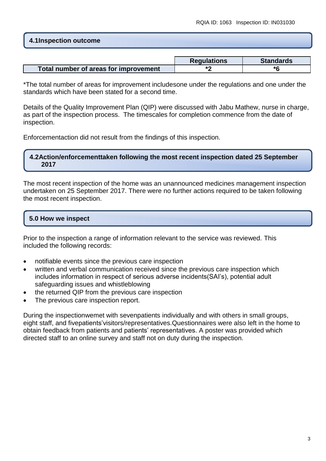# **4.1Inspection outcome**

|                                       | <b>Regulations</b> | <b>Standards</b> |
|---------------------------------------|--------------------|------------------|
| Total number of areas for improvement |                    | *6               |

\*The total number of areas for improvement includesone under the regulations and one under the standards which have been stated for a second time.

Details of the Quality Improvement Plan (QIP) were discussed with Jabu Mathew, nurse in charge, as part of the inspection process. The timescales for completion commence from the date of inspection.

Enforcementaction did not result from the findings of this inspection.

#### **4.2Action/enforcementtaken following the most recent inspection dated 25 September 2017**

The most recent inspection of the home was an unannounced medicines management inspection undertaken on 25 September 2017. There were no further actions required to be taken following the most recent inspection.

# **5.0 How we inspect**

Prior to the inspection a range of information relevant to the service was reviewed. This included the following records:

- notifiable events since the previous care inspection
- written and verbal communication received since the previous care inspection which includes information in respect of serious adverse incidents(SAI's), potential adult safeguarding issues and whistleblowing
- the returned QIP from the previous care inspection
- The previous care inspection report.

During the inspectionwemet with sevenpatients individually and with others in small groups, eight staff, and fivepatients'visitors/representatives.Questionnaires were also left in the home to obtain feedback from patients and patients' representatives. A poster was provided which directed staff to an online survey and staff not on duty during the inspection.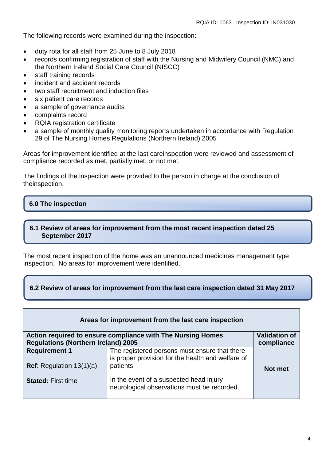The following records were examined during the inspection:

- duty rota for all staff from 25 June to 8 July 2018
- records confirming registration of staff with the Nursing and Midwifery Council (NMC) and the Northern Ireland Social Care Council (NISCC)
- staff training records
- incident and accident records
- two staff recruitment and induction files
- six patient care records
- a sample of governance audits
- complaints record
- RQIA registration certificate
- a sample of monthly quality monitoring reports undertaken in accordance with Regulation 29 of The Nursing Homes Regulations (Northern Ireland) 2005

Areas for improvement identified at the last careinspection were reviewed and assessment of compliance recorded as met, partially met, or not met.

The findings of the inspection were provided to the person in charge at the conclusion of theinspection.

# **6.0 The inspection**

# **6.1 Review of areas for improvement from the most recent inspection dated 25 September 2017**

The most recent inspection of the home was an unannounced medicines management type inspection. No areas for improvement were identified.

# **6.2 Review of areas for improvement from the last care inspection dated 31 May 2017**

| Areas for improvement from the last care inspection                                 |                                                                                                    |            |
|-------------------------------------------------------------------------------------|----------------------------------------------------------------------------------------------------|------------|
| <b>Validation of</b><br>Action required to ensure compliance with The Nursing Homes |                                                                                                    |            |
| <b>Regulations (Northern Ireland) 2005</b>                                          |                                                                                                    | compliance |
| <b>Requirement 1</b>                                                                | The registered persons must ensure that there<br>is proper provision for the health and welfare of |            |
| <b>Ref:</b> Regulation $13(1)(a)$                                                   | patients.                                                                                          | Not met    |
| <b>Stated: First time</b>                                                           | In the event of a suspected head injury<br>neurological observations must be recorded.             |            |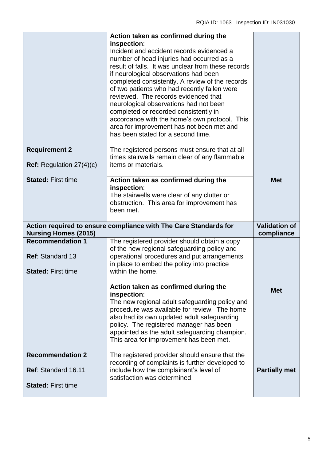|                                                                                 | Action taken as confirmed during the<br>inspection:<br>Incident and accident records evidenced a<br>number of head injuries had occurred as a<br>result of falls. It was unclear from these records<br>if neurological observations had been<br>completed consistently. A review of the records<br>of two patients who had recently fallen were<br>reviewed. The records evidenced that<br>neurological observations had not been<br>completed or recorded consistently in<br>accordance with the home's own protocol. This<br>area for improvement has not been met and<br>has been stated for a second time. |                                    |
|---------------------------------------------------------------------------------|----------------------------------------------------------------------------------------------------------------------------------------------------------------------------------------------------------------------------------------------------------------------------------------------------------------------------------------------------------------------------------------------------------------------------------------------------------------------------------------------------------------------------------------------------------------------------------------------------------------|------------------------------------|
| <b>Requirement 2</b><br><b>Ref:</b> Regulation $27(4)(c)$                       | The registered persons must ensure that at all<br>times stairwells remain clear of any flammable<br>items or materials.                                                                                                                                                                                                                                                                                                                                                                                                                                                                                        |                                    |
| <b>Stated: First time</b>                                                       | Action taken as confirmed during the<br>inspection:<br>The stairwells were clear of any clutter or<br>obstruction. This area for improvement has<br>been met.                                                                                                                                                                                                                                                                                                                                                                                                                                                  | <b>Met</b>                         |
| <b>Nursing Homes (2015)</b>                                                     | Action required to ensure compliance with The Care Standards for                                                                                                                                                                                                                                                                                                                                                                                                                                                                                                                                               | <b>Validation of</b><br>compliance |
| <b>Recommendation 1</b><br><b>Ref: Standard 13</b><br><b>Stated: First time</b> | The registered provider should obtain a copy<br>of the new regional safeguarding policy and<br>operational procedures and put arrangements<br>in place to embed the policy into practice<br>within the home.                                                                                                                                                                                                                                                                                                                                                                                                   |                                    |
|                                                                                 | Action taken as confirmed during the<br>inspection:<br>The new regional adult safeguarding policy and<br>procedure was available for review. The home<br>also had its own updated adult safeguarding<br>policy. The registered manager has been<br>appointed as the adult safeguarding champion.<br>This area for improvement has been met.                                                                                                                                                                                                                                                                    | <b>Met</b>                         |
| <b>Recommendation 2</b><br>Ref: Standard 16.11<br><b>Stated: First time</b>     | The registered provider should ensure that the<br>recording of complaints is further developed to<br>include how the complainant's level of<br>satisfaction was determined.                                                                                                                                                                                                                                                                                                                                                                                                                                    | <b>Partially met</b>               |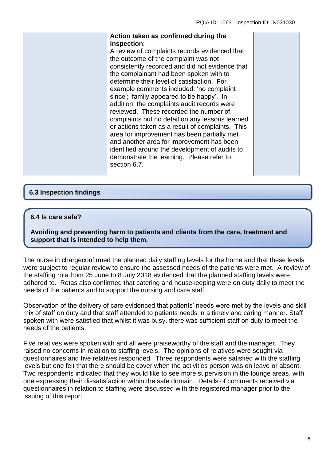| Action taken as confirmed during the                                                                                                                                                                                                                                                                                                                                                                                                                                                                                                                                                                                                                                                                                                                 |  |
|------------------------------------------------------------------------------------------------------------------------------------------------------------------------------------------------------------------------------------------------------------------------------------------------------------------------------------------------------------------------------------------------------------------------------------------------------------------------------------------------------------------------------------------------------------------------------------------------------------------------------------------------------------------------------------------------------------------------------------------------------|--|
| inspection:<br>A review of complaints records evidenced that<br>the outcome of the complaint was not<br>consistently recorded and did not evidence that<br>the complainant had been spoken with to<br>determine their level of satisfaction. For<br>example comments included: 'no complaint<br>since'; 'family appeared to be happy'. In<br>addition, the complaints audit records were<br>reviewed. These recorded the number of<br>complaints but no detail on any lessons learned<br>or actions taken as a result of complaints. This<br>area for improvement has been partially met<br>and another area for improvement has been<br>identified around the development of audits to<br>demonstrate the learning. Please refer to<br>section 6.7. |  |

# **6.3 Inspection findings**

#### **6.4 Is care safe?**

**Avoiding and preventing harm to patients and clients from the care, treatment and support that is intended to help them.**

The nurse in chargeconfirmed the planned daily staffing levels for the home and that these levels were subject to regular review to ensure the assessed needs of the patients were met. A review of the staffing rota from 25 June to 8 July 2018 evidenced that the planned staffing levels were adhered to. Rotas also confirmed that catering and housekeeping were on duty daily to meet the needs of the patients and to support the nursing and care staff.

Observation of the delivery of care evidenced that patients' needs were met by the levels and skill mix of staff on duty and that staff attended to patients needs in a timely and caring manner. Staff spoken with were satisfied that whilst it was busy, there was sufficient staff on duty to meet the needs of the patients.

Five relatives were spoken with and all were praiseworthy of the staff and the manager. They raised no concerns in relation to staffing levels. The opinions of relatives were sought via questionnaires and five relatives responded. Three respondents were satisfied with the staffing levels but one felt that there should be cover when the activities person was on leave or absent. Two respondents indicated that they would like to see more supervision in the lounge areas, with one expressing their dissatisfaction within the safe domain. Details of comments received via questionnaires in relation to staffing were discussed with the registered manager prior to the issuing of this report.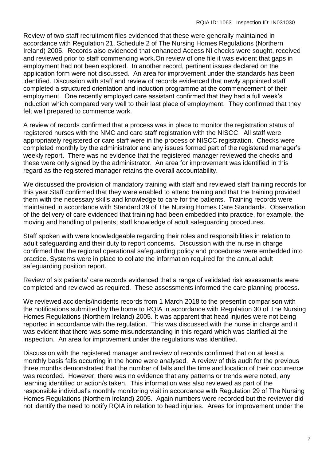Review of two staff recruitment files evidenced that these were generally maintained in accordance with Regulation 21, Schedule 2 of The Nursing Homes Regulations (Northern Ireland) 2005. Records also evidenced that enhanced Access NI checks were sought, received and reviewed prior to staff commencing work.On review of one file it was evident that gaps in employment had not been explored. In another record, pertinent issues declared on the application form were not discussed. An area for improvement under the standards has been identified. Discussion with staff and review of records evidenced that newly appointed staff completed a structured orientation and induction programme at the commencement of their employment. One recently employed care assistant confirmed that they had a full week's induction which compared very well to their last place of employment. They confirmed that they felt well prepared to commence work.

A review of records confirmed that a process was in place to monitor the registration status of registered nurses with the NMC and care staff registration with the NISCC. All staff were appropriately registered or care staff were in the process of NISCC registration. Checks were completed monthly by the administrator and any issues formed part of the registered manager's weekly report. There was no evidence that the registered manager reviewed the checks and these were only signed by the administrator. An area for improvement was identified in this regard as the registered manager retains the overall accountability.

We discussed the provision of mandatory training with staff and reviewed staff training records for this year.Staff confirmed that they were enabled to attend training and that the training provided them with the necessary skills and knowledge to care for the patients. Training records were maintained in accordance with Standard 39 of The Nursing Homes Care Standards. Observation of the delivery of care evidenced that training had been embedded into practice, for example, the moving and handling of patients; staff knowledge of adult safeguarding procedures.

Staff spoken with were knowledgeable regarding their roles and responsibilities in relation to adult safeguarding and their duty to report concerns. Discussion with the nurse in charge confirmed that the regional operational safeguarding policy and procedures were embedded into practice. Systems were in place to collate the information required for the annual adult safeguarding position report.

Review of six patients' care records evidenced that a range of validated risk assessments were completed and reviewed as required. These assessments informed the care planning process.

We reviewed accidents/incidents records from 1 March 2018 to the presentin comparison with the notifications submitted by the home to RQIA in accordance with Regulation 30 of The Nursing Homes Regulations (Northern Ireland) 2005. It was apparent that head injuries were not being reported in accordance with the regulation. This was discussed with the nurse in charge and it was evident that there was some misunderstanding in this regard which was clarified at the inspection. An area for improvement under the regulations was identified.

Discussion with the registered manager and review of records confirmed that on at least a monthly basis falls occurring in the home were analysed. A review of this audit for the previous three months demonstrated that the number of falls and the time and location of their occurrence was recorded. However, there was no evidence that any patterns or trends were noted, any learning identified or action/s taken. This information was also reviewed as part of the responsible individual's monthly monitoring visit in accordance with Regulation 29 of The Nursing Homes Regulations (Northern Ireland) 2005. Again numbers were recorded but the reviewer did not identify the need to notify RQIA in relation to head injuries. Areas for improvement under the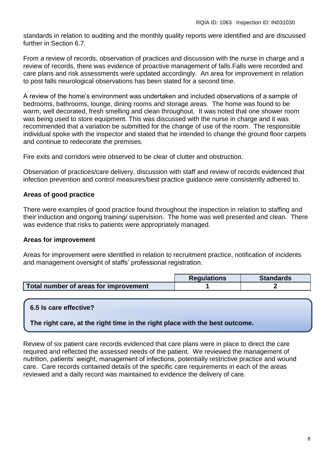standards in relation to auditing and the monthly quality reports were identified and are discussed further in Section 6.7.

From a review of records, observation of practices and discussion with the nurse in charge and a review of records, there was evidence of proactive management of falls.Falls were recorded and care plans and risk assessments were updated accordingly. An area for improvement in relation to post falls neurological observations has been stated for a second time.

A review of the home's environment was undertaken and included observations of a sample of bedrooms, bathrooms, lounge, dining rooms and storage areas. The home was found to be warm, well decorated, fresh smelling and clean throughout. It was noted that one shower room was being used to store equipment. This was discussed with the nurse in charge and it was recommended that a variation be submitted for the change of use of the room. The responsible individual spoke with the inspector and stated that he intended to change the ground floor carpets and continue to redecorate the premises.

Fire exits and corridors were observed to be clear of clutter and obstruction.

Observation of practices/care delivery, discussion with staff and review of records evidenced that infection prevention and control measures/best practice guidance were consistently adhered to.

#### **Areas of good practice**

There were examples of good practice found throughout the inspection in relation to staffing and their induction and ongoing training/ supervision. The home was well presented and clean. There was evidence that risks to patients were appropriately managed.

#### **Areas for improvement**

Areas for improvement were identified in relation to recruitment practice, notification of incidents and management oversight of staffs' professional registration.

|                                       | <b>Requlations</b> | <b>Standards</b> |
|---------------------------------------|--------------------|------------------|
| Total number of areas for improvement |                    |                  |

# **6.5 Is care effective?**

**The right care, at the right time in the right place with the best outcome.**

Review of six patient care records evidenced that care plans were in place to direct the care required and reflected the assessed needs of the patient. We reviewed the management of nutrition, patients' weight, management of infections, potentially restrictive practice and wound care. Care records contained details of the specific care requirements in each of the areas reviewed and a daily record was maintained to evidence the delivery of care.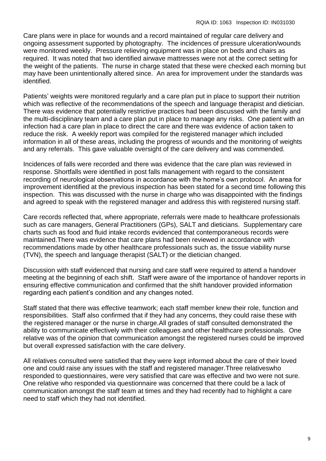Care plans were in place for wounds and a record maintained of regular care delivery and ongoing assessment supported by photography. The incidences of pressure ulceration/wounds were monitored weekly. Pressure relieving equipment was in place on beds and chairs as required. It was noted that two identified airwave mattresses were not at the correct setting for the weight of the patients. The nurse in charge stated that these were checked each morning but may have been unintentionally altered since. An area for improvement under the standards was identified.

Patients' weights were monitored regularly and a care plan put in place to support their nutrition which was reflective of the recommendations of the speech and language therapist and dietician. There was evidence that potentially restrictive practices had been discussed with the family and the multi-disciplinary team and a care plan put in place to manage any risks. One patient with an infection had a care plan in place to direct the care and there was evidence of action taken to reduce the risk. A weekly report was compiled for the registered manager which included information in all of these areas, including the progress of wounds and the monitoring of weights and any referrals. This gave valuable oversight of the care delivery and was commended.

Incidences of falls were recorded and there was evidence that the care plan was reviewed in response. Shortfalls were identified in post falls management with regard to the consistent recording of neurological observations in accordance with the home's own protocol. An area for improvement identified at the previous inspection has been stated for a second time following this inspection. This was discussed with the nurse in charge who was disappointed with the findings and agreed to speak with the registered manager and address this with registered nursing staff.

Care records reflected that, where appropriate, referrals were made to healthcare professionals such as care managers, General Practitioners (GPs), SALT and dieticians. Supplementary care charts such as food and fluid intake records evidenced that contemporaneous records were maintained.There was evidence that care plans had been reviewed in accordance with recommendations made by other healthcare professionals such as, the tissue viability nurse (TVN), the speech and language therapist (SALT) or the dietician changed.

Discussion with staff evidenced that nursing and care staff were required to attend a handover meeting at the beginning of each shift. Staff were aware of the importance of handover reports in ensuring effective communication and confirmed that the shift handover provided information regarding each patient's condition and any changes noted.

Staff stated that there was effective teamwork; each staff member knew their role, function and responsibilities. Staff also confirmed that if they had any concerns, they could raise these with the registered manager or the nurse in charge.All grades of staff consulted demonstrated the ability to communicate effectively with their colleagues and other healthcare professionals. One relative was of the opinion that communication amongst the registered nurses could be improved but overall expressed satisfaction with the care delivery.

All relatives consulted were satisfied that they were kept informed about the care of their loved one and could raise any issues with the staff and registered manager.Three relativeswho responded to questionnaires, were very satisfied that care was effective and two were not sure. One relative who responded via questionnaire was concerned that there could be a lack of communication amongst the staff team at times and they had recently had to highlight a care need to staff which they had not identified.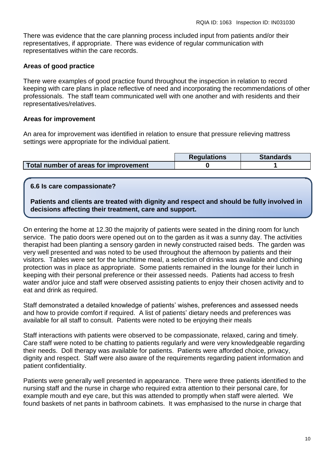There was evidence that the care planning process included input from patients and/or their representatives, if appropriate. There was evidence of regular communication with representatives within the care records.

#### **Areas of good practice**

There were examples of good practice found throughout the inspection in relation to record keeping with care plans in place reflective of need and incorporating the recommendations of other professionals. The staff team communicated well with one another and with residents and their representatives/relatives.

#### **Areas for improvement**

An area for improvement was identified in relation to ensure that pressure relieving mattress settings were appropriate for the individual patient.

|                                       | <b>Regulations</b> | <b>Standards</b> |
|---------------------------------------|--------------------|------------------|
| Total number of areas for improvement |                    |                  |

#### **6.6 Is care compassionate?**

**Patients and clients are treated with dignity and respect and should be fully involved in decisions affecting their treatment, care and support.**

On entering the home at 12.30 the majority of patients were seated in the dining room for lunch service. The patio doors were opened out on to the garden as it was a sunny day. The activities therapist had been planting a sensory garden in newly constructed raised beds. The garden was very well presented and was noted to be used throughout the afternoon by patients and their visitors. Tables were set for the lunchtime meal, a selection of drinks was available and clothing protection was in place as appropriate. Some patients remained in the lounge for their lunch in keeping with their personal preference or their assessed needs. Patients had access to fresh water and/or juice and staff were observed assisting patients to enjoy their chosen activity and to eat and drink as required.

Staff demonstrated a detailed knowledge of patients' wishes, preferences and assessed needs and how to provide comfort if required. A list of patients' dietary needs and preferences was available for all staff to consult. Patients were noted to be enjoying their meals

Staff interactions with patients were observed to be compassionate, relaxed, caring and timely. Care staff were noted to be chatting to patients regularly and were very knowledgeable regarding their needs. Doll therapy was available for patients. Patients were afforded choice, privacy, dignity and respect. Staff were also aware of the requirements regarding patient information and patient confidentiality.

Patients were generally well presented in appearance. There were three patients identified to the nursing staff and the nurse in charge who required extra attention to their personal care, for example mouth and eye care, but this was attended to promptly when staff were alerted. We found baskets of net pants in bathroom cabinets. It was emphasised to the nurse in charge that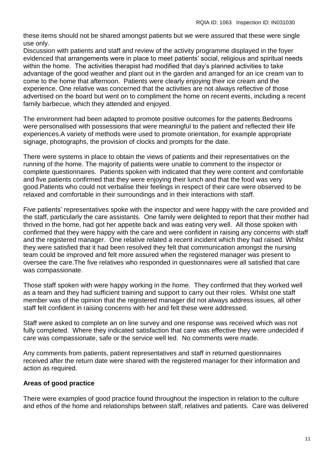these items should not be shared amongst patients but we were assured that these were single use only.

Discussion with patients and staff and review of the activity programme displayed in the foyer evidenced that arrangements were in place to meet patients' social, religious and spiritual needs within the home. The activities therapist had modified that day's planned activities to take advantage of the good weather and plant out in the garden and arranged for an ice cream van to come to the home that afternoon. Patients were clearly enjoying their ice cream and the experience. One relative was concerned that the activities are not always reflective of those advertised on the board but went on to compliment the home on recent events, including a recent family barbecue, which they attended and enjoyed.

The environment had been adapted to promote positive outcomes for the patients.Bedrooms were personalised with possessions that were meaningful to the patient and reflected their life experiences.A variety of methods were used to promote orientation, for example appropriate signage, photographs, the provision of clocks and prompts for the date.

There were systems in place to obtain the views of patients and their representatives on the running of the home. The majority of patients were unable to comment to the inspector or complete questionnaires. Patients spoken with indicated that they were content and comfortable and five patients confirmed that they were enjoying their lunch and that the food was very good.Patients who could not verbalise their feelings in respect of their care were observed to be relaxed and comfortable in their surroundings and in their interactions with staff.

Five patients' representatives spoke with the inspector and were happy with the care provided and the staff, particularly the care assistants. One family were delighted to report that their mother had thrived in the home, had got her appetite back and was eating very well. All those spoken with confirmed that they were happy with the care and were confident in raising any concerns with staff and the registered manager. One relative related a recent incident which they had raised. Whilst they were satisfied that it had been resolved they felt that communication amongst the nursing team could be improved and felt more assured when the registered manager was present to oversee the care.The five relatives who responded in questionnaires were all satisfied that care was compassionate.

Those staff spoken with were happy working in the home. They confirmed that they worked well as a team and they had sufficient training and support to carry out their roles. Whilst one staff member was of the opinion that the registered manager did not always address issues, all other staff felt confident in raising concerns with her and felt these were addressed.

Staff were asked to complete an on line survey and one response was received which was not fully completed. Where they indicated satisfaction that care was effective they were undecided if care was compassionate, safe or the service well led. No comments were made.

Any comments from patients, patient representatives and staff in returned questionnaires received after the return date were shared with the registered manager for their information and action as required.

# **Areas of good practice**

There were examples of good practice found throughout the inspection in relation to the culture and ethos of the home and relationships between staff, relatives and patients. Care was delivered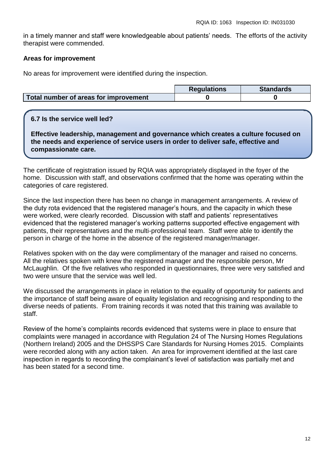in a timely manner and staff were knowledgeable about patients' needs. The efforts of the activity therapist were commended.

#### **Areas for improvement**

No areas for improvement were identified during the inspection.

|                                       | <b>Requlations</b> | <b>Standards</b> |
|---------------------------------------|--------------------|------------------|
| Total number of areas for improvement |                    |                  |

#### **6.7 Is the service well led?**

**Effective leadership, management and governance which creates a culture focused on the needs and experience of service users in order to deliver safe, effective and compassionate care.**

The certificate of registration issued by RQIA was appropriately displayed in the foyer of the home. Discussion with staff, and observations confirmed that the home was operating within the categories of care registered.

Since the last inspection there has been no change in management arrangements. A review of the duty rota evidenced that the registered manager's hours, and the capacity in which these were worked, were clearly recorded. Discussion with staff and patients' representatives evidenced that the registered manager's working patterns supported effective engagement with patients, their representatives and the multi-professional team. Staff were able to identify the person in charge of the home in the absence of the registered manager/manager.

Relatives spoken with on the day were complimentary of the manager and raised no concerns. All the relatives spoken with knew the registered manager and the responsible person, Mr McLaughlin. Of the five relatives who responded in questionnaires, three were very satisfied and two were unsure that the service was well led.

We discussed the arrangements in place in relation to the equality of opportunity for patients and the importance of staff being aware of equality legislation and recognising and responding to the diverse needs of patients. From training records it was noted that this training was available to staff.

Review of the home's complaints records evidenced that systems were in place to ensure that complaints were managed in accordance with Regulation 24 of The Nursing Homes Regulations (Northern Ireland) 2005 and the DHSSPS Care Standards for Nursing Homes 2015. Complaints were recorded along with any action taken. An area for improvement identified at the last care inspection in regards to recording the complainant's level of satisfaction was partially met and has been stated for a second time.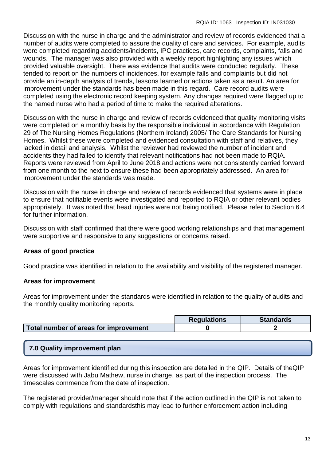Discussion with the nurse in charge and the administrator and review of records evidenced that a number of audits were completed to assure the quality of care and services. For example, audits were completed regarding accidents/incidents, IPC practices, care records, complaints, falls and wounds. The manager was also provided with a weekly report highlighting any issues which provided valuable oversight. There was evidence that audits were conducted regularly. These tended to report on the numbers of incidences, for example falls and complaints but did not provide an in-depth analysis of trends, lessons learned or actions taken as a result. An area for improvement under the standards has been made in this regard. Care record audits were completed using the electronic record keeping system. Any changes required were flagged up to the named nurse who had a period of time to make the required alterations.

Discussion with the nurse in charge and review of records evidenced that quality monitoring visits were completed on a monthly basis by the responsible individual in accordance with Regulation 29 of The Nursing Homes Regulations (Northern Ireland) 2005/ The Care Standards for Nursing Homes. Whilst these were completed and evidenced consultation with staff and relatives, they lacked in detail and analysis. Whilst the reviewer had reviewed the number of incident and accidents they had failed to identify that relevant notifications had not been made to RQIA. Reports were reviewed from April to June 2018 and actions were not consistently carried forward from one month to the next to ensure these had been appropriately addressed. An area for improvement under the standards was made.

Discussion with the nurse in charge and review of records evidenced that systems were in place to ensure that notifiable events were investigated and reported to RQIA or other relevant bodies appropriately. It was noted that head injuries were not being notified. Please refer to Section 6.4 for further information.

Discussion with staff confirmed that there were good working relationships and that management were supportive and responsive to any suggestions or concerns raised.

# **Areas of good practice**

Good practice was identified in relation to the availability and visibility of the registered manager.

# **Areas for improvement**

Areas for improvement under the standards were identified in relation to the quality of audits and the monthly quality monitoring reports.

|                                       | <b>Requlations</b> | <b>Standards</b> |
|---------------------------------------|--------------------|------------------|
| Total number of areas for improvement |                    |                  |

# **7.0 Quality improvement plan**

Areas for improvement identified during this inspection are detailed in the QIP. Details of theQIP were discussed with Jabu Mathew, nurse in charge, as part of the inspection process. The timescales commence from the date of inspection.

The registered provider/manager should note that if the action outlined in the QIP is not taken to comply with regulations and standardsthis may lead to further enforcement action including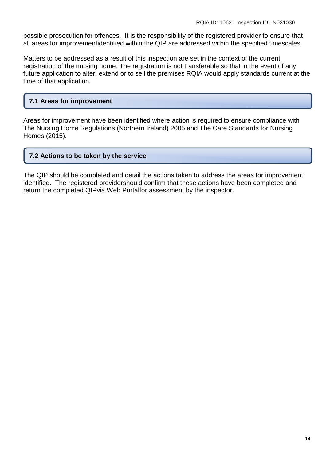possible prosecution for offences. It is the responsibility of the registered provider to ensure that all areas for improvementidentified within the QIP are addressed within the specified timescales.

Matters to be addressed as a result of this inspection are set in the context of the current registration of the nursing home. The registration is not transferable so that in the event of any future application to alter, extend or to sell the premises RQIA would apply standards current at the time of that application.

# **7.1 Areas for improvement**

Areas for improvement have been identified where action is required to ensure compliance with The Nursing Home Regulations (Northern Ireland) 2005 and The Care Standards for Nursing Homes (2015).

#### **7.2 Actions to be taken by the service**

The QIP should be completed and detail the actions taken to address the areas for improvement identified. The registered providershould confirm that these actions have been completed and return the completed QIPvia Web Portalfor assessment by the inspector.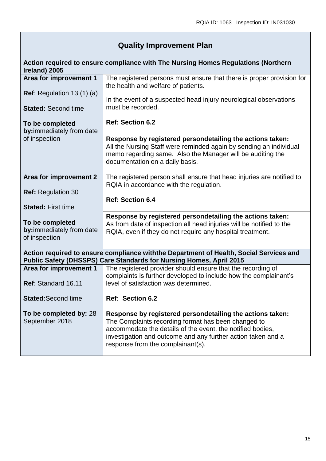# **Quality Improvement Plan**

| Ireland) 2005                                                                                                                                                 | Action required to ensure compliance with The Nursing Homes Regulations (Northern                                                                                                                                                                                                   |
|---------------------------------------------------------------------------------------------------------------------------------------------------------------|-------------------------------------------------------------------------------------------------------------------------------------------------------------------------------------------------------------------------------------------------------------------------------------|
| Area for improvement 1                                                                                                                                        | The registered persons must ensure that there is proper provision for<br>the health and welfare of patients.                                                                                                                                                                        |
| <b>Ref:</b> Regulation 13 $(1)(a)$                                                                                                                            | In the event of a suspected head injury neurological observations                                                                                                                                                                                                                   |
| <b>Stated: Second time</b>                                                                                                                                    | must be recorded.                                                                                                                                                                                                                                                                   |
| To be completed<br>by:immediately from date                                                                                                                   | <b>Ref: Section 6.2</b>                                                                                                                                                                                                                                                             |
| of inspection                                                                                                                                                 | Response by registered persondetailing the actions taken:<br>All the Nursing Staff were reminded again by sending an individual<br>memo regarding same. Also the Manager will be auditing the<br>documentation on a daily basis.                                                    |
| Area for improvement 2                                                                                                                                        | The registered person shall ensure that head injuries are notified to<br>RQIA in accordance with the regulation.                                                                                                                                                                    |
| <b>Ref: Regulation 30</b>                                                                                                                                     | <b>Ref: Section 6.4</b>                                                                                                                                                                                                                                                             |
| <b>Stated: First time</b>                                                                                                                                     |                                                                                                                                                                                                                                                                                     |
| To be completed<br>by:immediately from date<br>of inspection                                                                                                  | Response by registered persondetailing the actions taken:<br>As from date of inspection all head injuries will be notified to the<br>RQIA, even if they do not require any hospital treatment.                                                                                      |
| Action required to ensure compliance withthe Department of Health, Social Services and<br>Public Safety (DHSSPS) Care Standards for Nursing Homes, April 2015 |                                                                                                                                                                                                                                                                                     |
| Area for improvement 1                                                                                                                                        | The registered provider should ensure that the recording of<br>complaints is further developed to include how the complainant's                                                                                                                                                     |
| Ref: Standard 16.11                                                                                                                                           | level of satisfaction was determined.                                                                                                                                                                                                                                               |
| <b>Stated: Second time</b>                                                                                                                                    | Ref: Section 6.2                                                                                                                                                                                                                                                                    |
| To be completed by: 28<br>September 2018                                                                                                                      | Response by registered persondetailing the actions taken:<br>The Complaints recording format has been changed to<br>accommodate the details of the event, the notified bodies,<br>investigation and outcome and any further action taken and a<br>response from the complainant(s). |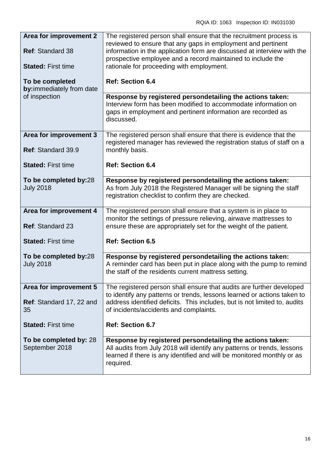| Area for improvement 2                            | The registered person shall ensure that the recruitment process is                                                                                                                                                          |
|---------------------------------------------------|-----------------------------------------------------------------------------------------------------------------------------------------------------------------------------------------------------------------------------|
| <b>Ref: Standard 38</b>                           | reviewed to ensure that any gaps in employment and pertinent<br>information in the application form are discussed at interview with the<br>prospective employee and a record maintained to include the                      |
| <b>Stated: First time</b>                         | rationale for proceeding with employment.                                                                                                                                                                                   |
| To be completed<br>by:immediately from date       | <b>Ref: Section 6.4</b>                                                                                                                                                                                                     |
| of inspection                                     | Response by registered persondetailing the actions taken:<br>Interview form has been modified to accommodate information on<br>gaps in employment and pertinent information are recorded as<br>discussed.                   |
| Area for improvement 3<br>Ref: Standard 39.9      | The registered person shall ensure that there is evidence that the<br>registered manager has reviewed the registration status of staff on a<br>monthly basis.                                                               |
| <b>Stated: First time</b>                         | <b>Ref: Section 6.4</b>                                                                                                                                                                                                     |
| To be completed by:28<br><b>July 2018</b>         | Response by registered persondetailing the actions taken:<br>As from July 2018 the Registered Manager will be signing the staff<br>registration checklist to confirm they are checked.                                      |
| Area for improvement 4<br><b>Ref: Standard 23</b> | The registered person shall ensure that a system is in place to<br>monitor the settings of pressure relieving, airwave mattresses to<br>ensure these are appropriately set for the weight of the patient.                   |
| <b>Stated: First time</b>                         | <b>Ref: Section 6.5</b>                                                                                                                                                                                                     |
| To be completed by:28<br><b>July 2018</b>         | Response by registered persondetailing the actions taken:<br>A reminder card has been put in place along with the pump to remind<br>the staff of the residents current mattress setting.                                    |
| Area for improvement 5                            | The registered person shall ensure that audits are further developed<br>to identify any patterns or trends, lessons learned or actions taken to                                                                             |
| Ref: Standard 17, 22 and<br>35                    | address identified deficits. This includes, but is not limited to, audits<br>of incidents/accidents and complaints.                                                                                                         |
| <b>Stated: First time</b>                         | <b>Ref: Section 6.7</b>                                                                                                                                                                                                     |
| To be completed by: 28<br>September 2018          | Response by registered persondetailing the actions taken:<br>All audits from July 2018 will identify any patterns or trends, lessons<br>learned if there is any identified and will be monitored monthly or as<br>required. |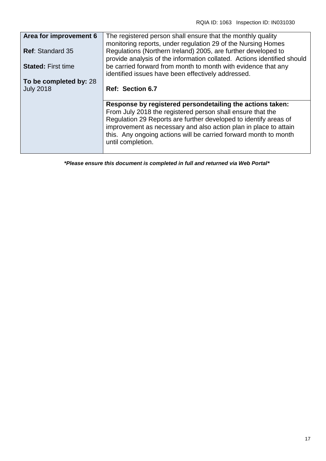| Area for improvement 6    | The registered person shall ensure that the monthly quality<br>monitoring reports, under regulation 29 of the Nursing Homes              |
|---------------------------|------------------------------------------------------------------------------------------------------------------------------------------|
| <b>Ref: Standard 35</b>   | Regulations (Northern Ireland) 2005, are further developed to<br>provide analysis of the information collated. Actions identified should |
| <b>Stated: First time</b> | be carried forward from month to month with evidence that any<br>identified issues have been effectively addressed.                      |
| To be completed by: 28    |                                                                                                                                          |
| <b>July 2018</b>          | Ref: Section 6.7                                                                                                                         |
|                           |                                                                                                                                          |
|                           | Response by registered persondetailing the actions taken:                                                                                |
|                           | From July 2018 the registered person shall ensure that the                                                                               |
|                           | Regulation 29 Reports are further developed to identify areas of                                                                         |
|                           | improvement as necessary and also action plan in place to attain                                                                         |
|                           | this. Any ongoing actions will be carried forward month to month<br>until completion.                                                    |
|                           |                                                                                                                                          |

*\*Please ensure this document is completed in full and returned via Web Portal\**